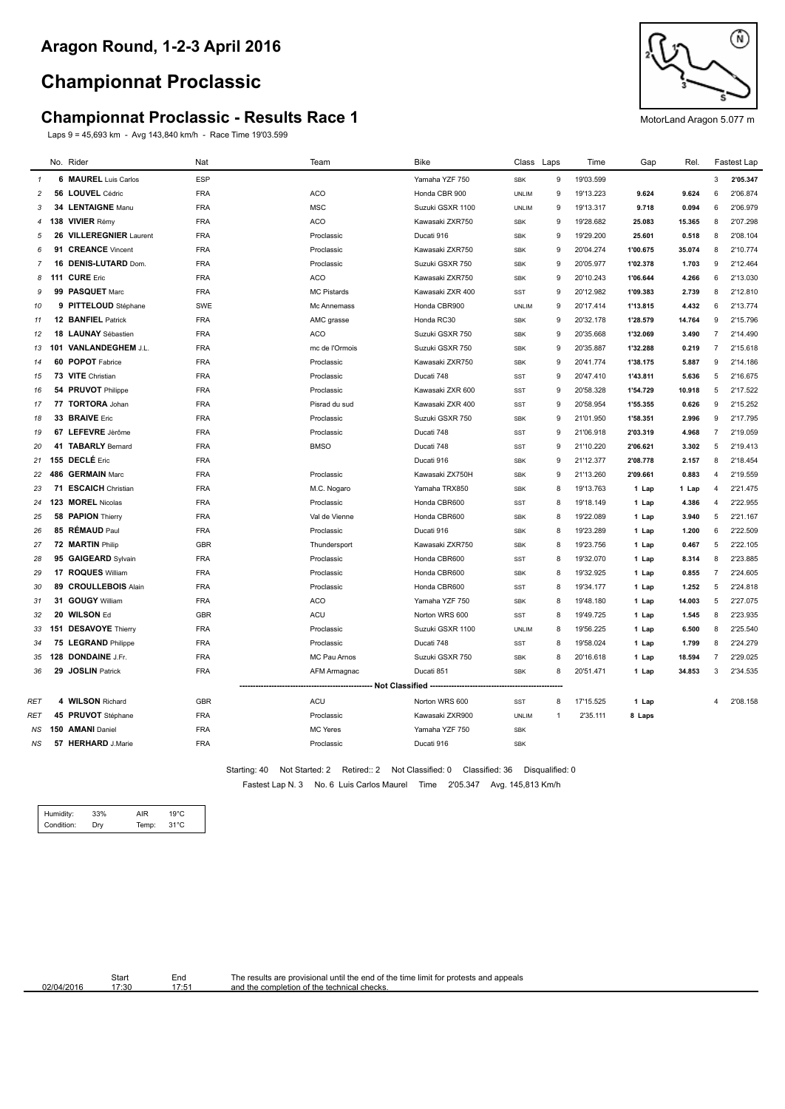## **Championnat Proclassic**

## **Championnat Proclassic - Results Race 1** MotorLand Aragon 5.077 m

Laps 9 = 45,693 km - Avg 143,840 km/h - Race Time 19'03.599



|                |    | No. Rider                   | Nat        | Team               | Bike                                    | Class Laps   |                | Time      | Gap      | Rel.   |                | Fastest Lap |
|----------------|----|-----------------------------|------------|--------------------|-----------------------------------------|--------------|----------------|-----------|----------|--------|----------------|-------------|
| $\mathbf{1}$   |    | 6 MAUREL Luis Carlos        | <b>ESP</b> |                    | Yamaha YZF 750                          | SBK          | 9              | 19'03.599 |          |        | 3              | 2'05.347    |
| $\overline{c}$ |    | 56 LOUVEL Cédric            | <b>FRA</b> | ACO                | Honda CBR 900                           | <b>UNLIM</b> | 9              | 19'13.223 | 9.624    | 9.624  | 6              | 2'06.874    |
| 3              |    | 34 LENTAIGNE Manu           | <b>FRA</b> | <b>MSC</b>         | Suzuki GSXR 1100                        | <b>UNLIM</b> | 9              | 19'13.317 | 9.718    | 0.094  | 6              | 2'06.979    |
| $\overline{4}$ |    | 138 VIVIER Rémy             | <b>FRA</b> | <b>ACO</b>         | Kawasaki ZXR750                         | <b>SBK</b>   | 9              | 19'28.682 | 25.083   | 15.365 | 8              | 2'07.298    |
| 5              | 26 | <b>VILLEREGNIER Laurent</b> | <b>FRA</b> | Proclassic         | Ducati 916                              | <b>SBK</b>   | 9              | 19'29.200 | 25.601   | 0.518  | 8              | 2'08.104    |
| 6              |    | 91 CREANCE Vincent          | <b>FRA</b> | Proclassic         | Kawasaki ZXR750                         | <b>SBK</b>   | 9              | 20'04.274 | 1'00.675 | 35.074 | 8              | 2'10.774    |
| 7              |    | 16 DENIS-LUTARD Dom.        | <b>FRA</b> | Proclassic         | Suzuki GSXR 750                         | <b>SBK</b>   | 9              | 20'05.977 | 1'02.378 | 1.703  | 9              | 2'12.464    |
| 8              |    | 111 CURE Eric               | <b>FRA</b> | ACO                | Kawasaki ZXR750                         | <b>SBK</b>   | 9              | 20'10.243 | 1'06.644 | 4.266  | 6              | 2'13.030    |
| 9              |    | 99 PASQUET Marc             | <b>FRA</b> | <b>MC Pistards</b> | Kawasaki ZXR 400                        | <b>SST</b>   | 9              | 20'12.982 | 1'09.383 | 2.739  | 8              | 2'12.810    |
| 10             |    | 9 PITTELOUD Stéphane        | SWE        | Mc Annemass        | Honda CBR900                            | <b>UNLIM</b> | 9              | 20'17.414 | 1'13.815 | 4.432  | 6              | 2'13.774    |
| 11             |    | 12 BANFIEL Patrick          | <b>FRA</b> | AMC grasse         | Honda RC30                              | <b>SBK</b>   | 9              | 20'32.178 | 1'28.579 | 14.764 | 9              | 2'15.796    |
| 12             |    | 18 LAUNAY Sébastien         | <b>FRA</b> | <b>ACO</b>         | Suzuki GSXR 750                         | <b>SBK</b>   | 9              | 20'35.668 | 1'32.069 | 3.490  | $\overline{7}$ | 2'14.490    |
| 13             |    | 101 VANLANDEGHEM J.L.       | <b>FRA</b> | mc de l'Ormois     | Suzuki GSXR 750                         | <b>SBK</b>   | 9              | 20'35.887 | 1'32.288 | 0.219  | $\overline{7}$ | 2'15.618    |
| 14             |    | 60 POPOT Fabrice            | <b>FRA</b> | Proclassic         | Kawasaki ZXR750                         | <b>SBK</b>   | 9              | 20'41.774 | 1'38.175 | 5.887  | 9              | 2'14.186    |
| 15             |    | 73 VITE Christian           | <b>FRA</b> | Proclassic         | Ducati 748                              | <b>SST</b>   | 9              | 20'47.410 | 1'43.811 | 5.636  | 5              | 2'16.675    |
| 16             |    | 54 PRUVOT Philippe          | <b>FRA</b> | Proclassic         | Kawasaki ZXR 600                        | SST          | 9              | 20'58.328 | 1'54.729 | 10.918 | 5              | 2'17.522    |
| 17             |    | 77 TORTORA Johan            | <b>FRA</b> | Pisrad du sud      | Kawasaki ZXR 400                        | <b>SST</b>   | 9              | 20'58.954 | 1'55.355 | 0.626  | 9              | 2'15.252    |
| 18             |    | 33 BRAIVE Eric              | <b>FRA</b> | Proclassic         | Suzuki GSXR 750                         | <b>SBK</b>   | 9              | 21'01.950 | 1'58.351 | 2.996  | 9              | 2'17.795    |
| 19             |    | 67 LEFEVRE Jèrôme           | <b>FRA</b> | Proclassic         | Ducati 748                              | <b>SST</b>   | 9              | 21'06.918 | 2'03.319 | 4.968  | $\overline{7}$ | 2'19.059    |
| 20             |    | 41 TABARLY Bernard          | <b>FRA</b> | <b>BMSO</b>        | Ducati 748                              | <b>SST</b>   | 9              | 21'10.220 | 2'06.621 | 3.302  | 5              | 2'19.413    |
| 21             |    | 155 DECLÉ Eric              | <b>FRA</b> |                    | Ducati 916                              | <b>SBK</b>   | 9              | 21'12.377 | 2'08.778 | 2.157  | 8              | 2'18.454    |
| 22             |    | 486 GERMAIN Marc            | <b>FRA</b> | Proclassic         | Kawasaki ZX750H                         | <b>SBK</b>   | 9              | 21'13.260 | 2'09.661 | 0.883  | $\overline{4}$ | 2'19.559    |
| 23             |    | 71 ESCAICH Christian        | <b>FRA</b> | M.C. Nogaro        | Yamaha TRX850                           | <b>SBK</b>   | 8              | 19'13.763 | 1 Lap    | 1 Lap  | $\overline{4}$ | 2'21.475    |
| 24             |    | 123 MOREL Nicolas           | <b>FRA</b> | Proclassic         | Honda CBR600                            | <b>SST</b>   | 8              | 19'18.149 | 1 Lap    | 4.386  | $\overline{4}$ | 2'22.955    |
| 25             |    | 58 PAPION Thierry           | <b>FRA</b> | Val de Vienne      | Honda CBR600                            | <b>SBK</b>   | 8              | 19'22.089 | 1 Lap    | 3.940  | 5              | 2'21.167    |
| 26             |    | 85 RÉMAUD Paul              | <b>FRA</b> | Proclassic         | Ducati 916                              | <b>SBK</b>   | 8              | 19'23.289 | 1 Lap    | 1.200  | 6              | 2'22.509    |
| 27             |    | 72 MARTIN Philip            | <b>GBR</b> | Thundersport       | Kawasaki ZXR750                         | <b>SBK</b>   | 8              | 19'23.756 | 1 Lap    | 0.467  | 5              | 2'22.105    |
| 28             |    | 95 GAIGEARD Sylvain         | <b>FRA</b> | Proclassic         | Honda CBR600                            | <b>SST</b>   | 8              | 19'32.070 | 1 Lap    | 8.314  | 8              | 2'23.885    |
| 29             |    | 17 ROQUES William           | <b>FRA</b> | Proclassic         | Honda CBR600                            | <b>SBK</b>   | 8              | 19'32.925 | 1 Lap    | 0.855  | $\overline{7}$ | 2'24.605    |
| 30             |    | 89 CROULLEBOIS Alain        | <b>FRA</b> | Proclassic         | Honda CBR600                            | <b>SST</b>   | 8              | 19'34.177 | 1 Lap    | 1.252  | 5              | 2'24.818    |
| 31             |    | 31 GOUGY William            | <b>FRA</b> | <b>ACO</b>         | Yamaha YZF 750                          | <b>SBK</b>   | 8              | 19'48.180 | 1 Lap    | 14.003 | $\,$ 5 $\,$    | 2'27.075    |
| 32             |    | 20 WILSON Ed                | <b>GBR</b> | ACU                | Norton WRS 600                          | <b>SST</b>   | 8              | 19'49.725 | 1 Lap    | 1.545  | 8              | 2'23.935    |
| 33             |    | 151 DESAVOYE Thierry        | <b>FRA</b> | Proclassic         | Suzuki GSXR 1100                        | <b>UNLIM</b> | 8              | 19'56.225 | 1 Lap    | 6.500  | 8              | 2'25.540    |
| 34             |    | 75 LEGRAND Philippe         | <b>FRA</b> | Proclassic         | Ducati 748                              | <b>SST</b>   | 8              | 19'58.024 | 1 Lap    | 1.799  | 8              | 2'24.279    |
| 35             |    | 128 DONDAINE J.Fr.          | <b>FRA</b> | MC Pau Arnos       | Suzuki GSXR 750                         | <b>SBK</b>   | 8              | 20'16.618 | 1 Lap    | 18.594 | $\overline{7}$ | 2'29.025    |
| 36             |    | 29 JOSLIN Patrick           | <b>FRA</b> | AFM Armagnac       | Ducati 851                              | <b>SBK</b>   | 8              | 20'51.471 | 1 Lap    | 34.853 | 3              | 2'34.535    |
|                |    |                             |            |                    | -- Not Classified --------------------- |              |                |           |          |        |                |             |
| RET            |    | 4 WILSON Richard            | <b>GBR</b> | ACU                | Norton WRS 600                          | SST          | 8              | 17'15.525 | 1 Lap    |        | 4              | 2'08.158    |
| RET            |    | 45 PRUVOT Stéphane          | <b>FRA</b> | Proclassic         | Kawasaki ZXR900                         | <b>UNLIM</b> | $\overline{1}$ | 2'35.111  | 8 Laps   |        |                |             |
| ΝS             |    | 150 AMANI Daniel            | <b>FRA</b> | <b>MC Yeres</b>    | Yamaha YZF 750                          | <b>SBK</b>   |                |           |          |        |                |             |
| <b>NS</b>      |    | 57 HERHARD J.Marie          | <b>FRA</b> | Proclassic         | Ducati 916                              | <b>SBK</b>   |                |           |          |        |                |             |

Fastest Lap N. 3 No. 6 Luis Carlos Maurel Time 2'05.347 Avg. 145,813 Km/h Starting: 40 Not Started: 2 Retired:: 2 Not Classified: 0 Classified: 36 Disqualified: 0

| Humidity:  | 33% | AIR   | 19°C.          |  |
|------------|-----|-------|----------------|--|
| Condition: | Dry | Temp: | $31^{\circ}$ C |  |

Star<br>17:3

02/04/2016

| End   | The results are provisional until the end of the time limit for protests and appeals |
|-------|--------------------------------------------------------------------------------------|
| 17:51 | and the completion of the technical checks.                                          |